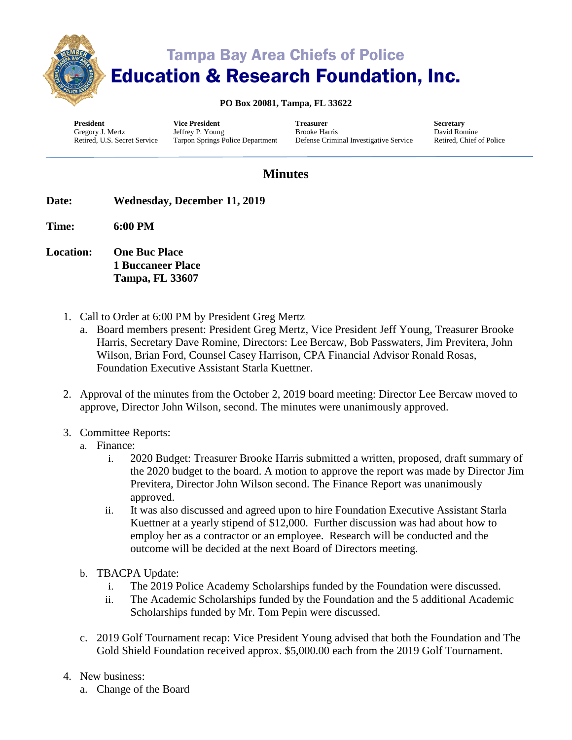

# Tampa Bay Area Chiefs of Police Education & Research Foundation, Inc.

#### **PO Box 20081, Tampa, FL 33622**

**President** Gregory J. Mertz Retired, U.S. Secret Service

**Vice President** Jeffrey P. Young Tarpon Springs Police Department

**Treasurer** Brooke Harris Defense Criminal Investigative Service **Secretary** David Romine Retired, Chief of Police

### **Minutes**

- **Date: Wednesday, December 11, 2019**
- **Time: 6:00 PM**
- **Location: One Buc Place 1 Buccaneer Place Tampa, FL 33607**
	- 1. Call to Order at 6:00 PM by President Greg Mertz
		- a. Board members present: President Greg Mertz, Vice President Jeff Young, Treasurer Brooke Harris, Secretary Dave Romine, Directors: Lee Bercaw, Bob Passwaters, Jim Previtera, John Wilson, Brian Ford, Counsel Casey Harrison, CPA Financial Advisor Ronald Rosas, Foundation Executive Assistant Starla Kuettner.
	- 2. Approval of the minutes from the October 2, 2019 board meeting: Director Lee Bercaw moved to approve, Director John Wilson, second. The minutes were unanimously approved.
	- 3. Committee Reports:
		- a. Finance:
			- i. 2020 Budget: Treasurer Brooke Harris submitted a written, proposed, draft summary of the 2020 budget to the board. A motion to approve the report was made by Director Jim Previtera, Director John Wilson second. The Finance Report was unanimously approved.
			- ii. It was also discussed and agreed upon to hire Foundation Executive Assistant Starla Kuettner at a yearly stipend of \$12,000. Further discussion was had about how to employ her as a contractor or an employee. Research will be conducted and the outcome will be decided at the next Board of Directors meeting.
		- b. TBACPA Update:
			- i. The 2019 Police Academy Scholarships funded by the Foundation were discussed.
			- ii. The Academic Scholarships funded by the Foundation and the 5 additional Academic Scholarships funded by Mr. Tom Pepin were discussed.
		- c. 2019 Golf Tournament recap: Vice President Young advised that both the Foundation and The Gold Shield Foundation received approx. \$5,000.00 each from the 2019 Golf Tournament.
	- 4. New business:
		- a. Change of the Board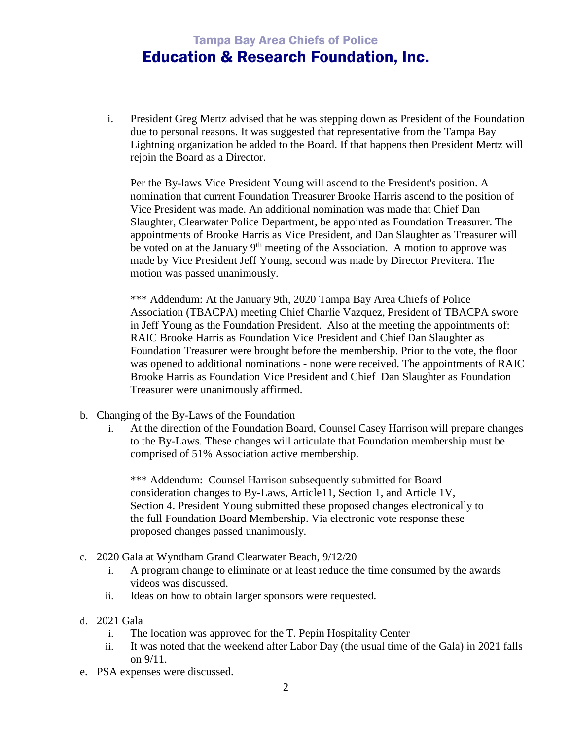## Tampa Bay Area Chiefs of Police Education & Research Foundation, Inc.

i. President Greg Mertz advised that he was stepping down as President of the Foundation due to personal reasons. It was suggested that representative from the Tampa Bay Lightning organization be added to the Board. If that happens then President Mertz will rejoin the Board as a Director.

Per the By-laws Vice President Young will ascend to the President's position. A nomination that current Foundation Treasurer Brooke Harris ascend to the position of Vice President was made. An additional nomination was made that Chief Dan Slaughter, Clearwater Police Department, be appointed as Foundation Treasurer. The appointments of Brooke Harris as Vice President, and Dan Slaughter as Treasurer will be voted on at the January  $9<sup>th</sup>$  meeting of the Association. A motion to approve was made by Vice President Jeff Young, second was made by Director Previtera. The motion was passed unanimously.

\*\*\* Addendum: At the January 9th, 2020 Tampa Bay Area Chiefs of Police Association (TBACPA) meeting Chief Charlie Vazquez, President of TBACPA swore in Jeff Young as the Foundation President. Also at the meeting the appointments of: RAIC Brooke Harris as Foundation Vice President and Chief Dan Slaughter as Foundation Treasurer were brought before the membership. Prior to the vote, the floor was opened to additional nominations - none were received. The appointments of RAIC Brooke Harris as Foundation Vice President and Chief Dan Slaughter as Foundation Treasurer were unanimously affirmed.

- b. Changing of the By-Laws of the Foundation
	- i. At the direction of the Foundation Board, Counsel Casey Harrison will prepare changes to the By-Laws. These changes will articulate that Foundation membership must be comprised of 51% Association active membership.

\*\*\* Addendum: Counsel Harrison subsequently submitted for Board consideration changes to By-Laws, Article11, Section 1, and Article 1V, Section 4. President Young submitted these proposed changes electronically to the full Foundation Board Membership. Via electronic vote response these proposed changes passed unanimously.

- c. 2020 Gala at Wyndham Grand Clearwater Beach, 9/12/20
	- i. A program change to eliminate or at least reduce the time consumed by the awards videos was discussed.
	- ii. Ideas on how to obtain larger sponsors were requested.
- d. 2021 Gala
	- i. The location was approved for the T. Pepin Hospitality Center
	- ii. It was noted that the weekend after Labor Day (the usual time of the Gala) in 2021 falls on 9/11.
- e. PSA expenses were discussed.